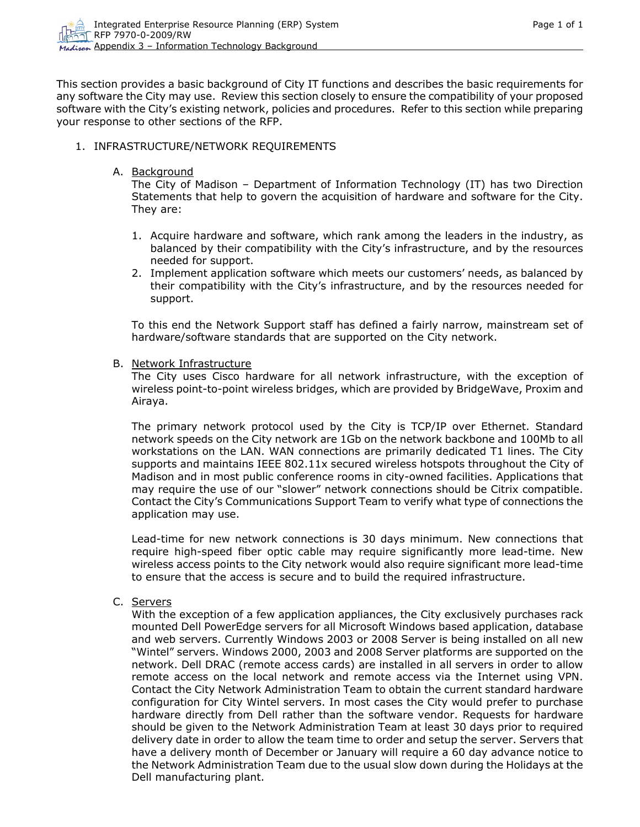This section provides a basic background of City IT functions and describes the basic requirements for any software the City may use. Review this section closely to ensure the compatibility of your proposed software with the City's existing network, policies and procedures. Refer to this section while preparing your response to other sections of the RFP.

#### 1. INFRASTRUCTURE/NETWORK REQUIREMENTS

A. Background

The City of Madison – Department of Information Technology (IT) has two Direction Statements that help to govern the acquisition of hardware and software for the City. They are:

- 1. Acquire hardware and software, which rank among the leaders in the industry, as balanced by their compatibility with the City's infrastructure, and by the resources needed for support.
- 2. Implement application software which meets our customers' needs, as balanced by their compatibility with the City's infrastructure, and by the resources needed for support.

To this end the Network Support staff has defined a fairly narrow, mainstream set of hardware/software standards that are supported on the City network.

B. Network Infrastructure

The City uses Cisco hardware for all network infrastructure, with the exception of wireless point-to-point wireless bridges, which are provided by BridgeWave, Proxim and Airaya.

The primary network protocol used by the City is TCP/IP over Ethernet. Standard network speeds on the City network are 1Gb on the network backbone and 100Mb to all workstations on the LAN. WAN connections are primarily dedicated T1 lines. The City supports and maintains IEEE 802.11x secured wireless hotspots throughout the City of Madison and in most public conference rooms in city-owned facilities. Applications that may require the use of our "slower" network connections should be Citrix compatible. Contact the City's Communications Support Team to verify what type of connections the application may use.

Lead-time for new network connections is 30 days minimum. New connections that require high-speed fiber optic cable may require significantly more lead-time. New wireless access points to the City network would also require significant more lead-time to ensure that the access is secure and to build the required infrastructure.

C. Servers

With the exception of a few application appliances, the City exclusively purchases rack mounted Dell PowerEdge servers for all Microsoft Windows based application, database and web servers. Currently Windows 2003 or 2008 Server is being installed on all new "Wintel" servers. Windows 2000, 2003 and 2008 Server platforms are supported on the network. Dell DRAC (remote access cards) are installed in all servers in order to allow remote access on the local network and remote access via the Internet using VPN. Contact the City Network Administration Team to obtain the current standard hardware configuration for City Wintel servers. In most cases the City would prefer to purchase hardware directly from Dell rather than the software vendor. Requests for hardware should be given to the Network Administration Team at least 30 days prior to required delivery date in order to allow the team time to order and setup the server. Servers that have a delivery month of December or January will require a 60 day advance notice to the Network Administration Team due to the usual slow down during the Holidays at the Dell manufacturing plant.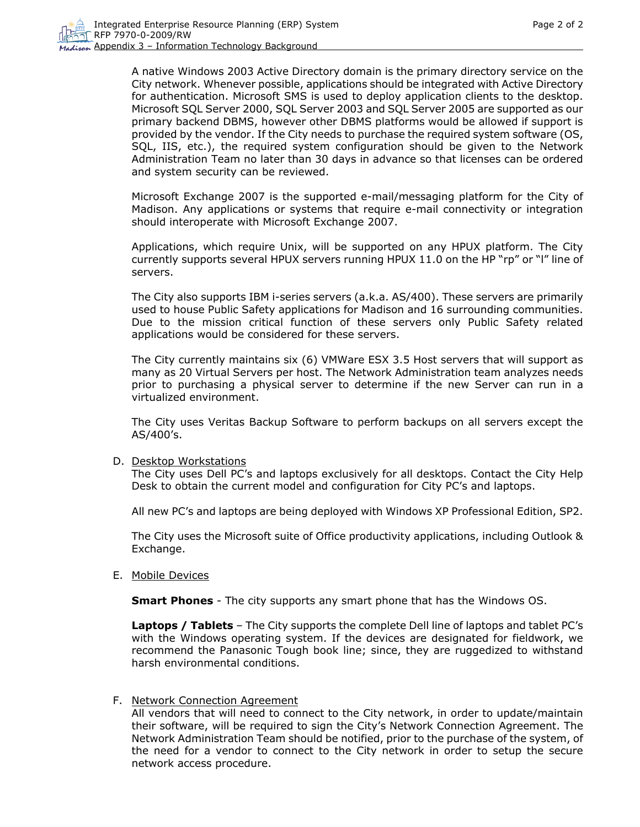A native Windows 2003 Active Directory domain is the primary directory service on the City network. Whenever possible, applications should be integrated with Active Directory for authentication. Microsoft SMS is used to deploy application clients to the desktop. Microsoft SQL Server 2000, SQL Server 2003 and SQL Server 2005 are supported as our primary backend DBMS, however other DBMS platforms would be allowed if support is provided by the vendor. If the City needs to purchase the required system software (OS, SQL, IIS, etc.), the required system configuration should be given to the Network Administration Team no later than 30 days in advance so that licenses can be ordered and system security can be reviewed.

Microsoft Exchange 2007 is the supported e-mail/messaging platform for the City of Madison. Any applications or systems that require e-mail connectivity or integration should interoperate with Microsoft Exchange 2007.

Applications, which require Unix, will be supported on any HPUX platform. The City currently supports several HPUX servers running HPUX 11.0 on the HP "rp" or "l" line of servers.

The City also supports IBM i-series servers (a.k.a. AS/400). These servers are primarily used to house Public Safety applications for Madison and 16 surrounding communities. Due to the mission critical function of these servers only Public Safety related applications would be considered for these servers.

The City currently maintains six (6) VMWare ESX 3.5 Host servers that will support as many as 20 Virtual Servers per host. The Network Administration team analyzes needs prior to purchasing a physical server to determine if the new Server can run in a virtualized environment.

The City uses Veritas Backup Software to perform backups on all servers except the AS/400's.

### D. Desktop Workstations

The City uses Dell PC's and laptops exclusively for all desktops. Contact the City Help Desk to obtain the current model and configuration for City PC's and laptops.

All new PC's and laptops are being deployed with Windows XP Professional Edition, SP2.

The City uses the Microsoft suite of Office productivity applications, including Outlook & Exchange.

E. Mobile Devices

**Smart Phones** - The city supports any smart phone that has the Windows OS.

**Laptops / Tablets** – The City supports the complete Dell line of laptops and tablet PC's with the Windows operating system. If the devices are designated for fieldwork, we recommend the Panasonic Tough book line; since, they are ruggedized to withstand harsh environmental conditions.

### F. Network Connection Agreement

All vendors that will need to connect to the City network, in order to update/maintain their software, will be required to sign the City's Network Connection Agreement. The Network Administration Team should be notified, prior to the purchase of the system, of the need for a vendor to connect to the City network in order to setup the secure network access procedure.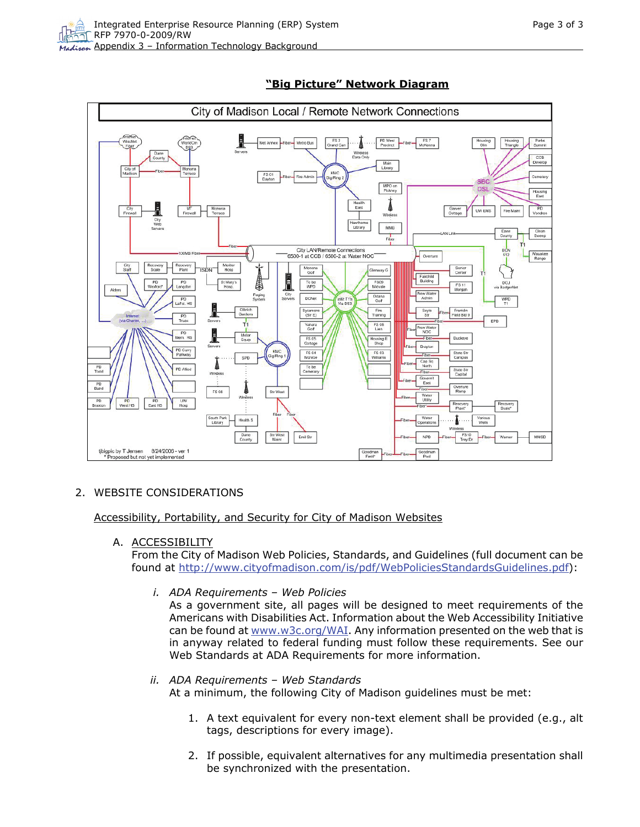

# **"Big Picture" Network Diagram**

# 2. WEBSITE CONSIDERATIONS

Accessibility, Portability, and Security for City of Madison Websites

A. ACCESSIBILITY

From the City of Madison Web Policies, Standards, and Guidelines (full document can be found at<http://www.cityofmadison.com/is/pdf/WebPoliciesStandardsGuidelines.pdf>):

*i. ADA Requirements – Web Policies* 

As a government site, all pages will be designed to meet requirements of the Americans with Disabilities Act. Information about the Web Accessibility Initiative can be found at  $www.w3c.org/WAI$ . Any information presented on the web that is in anyway related to federal funding must follow these requirements. See our Web Standards at ADA Requirements for more information.

# *ii. ADA Requirements – Web Standards*

At a minimum, the following City of Madison guidelines must be met:

- 1. A text equivalent for every non-text element shall be provided (e.g., alt tags, descriptions for every image).
- 2. If possible, equivalent alternatives for any multimedia presentation shall be synchronized with the presentation.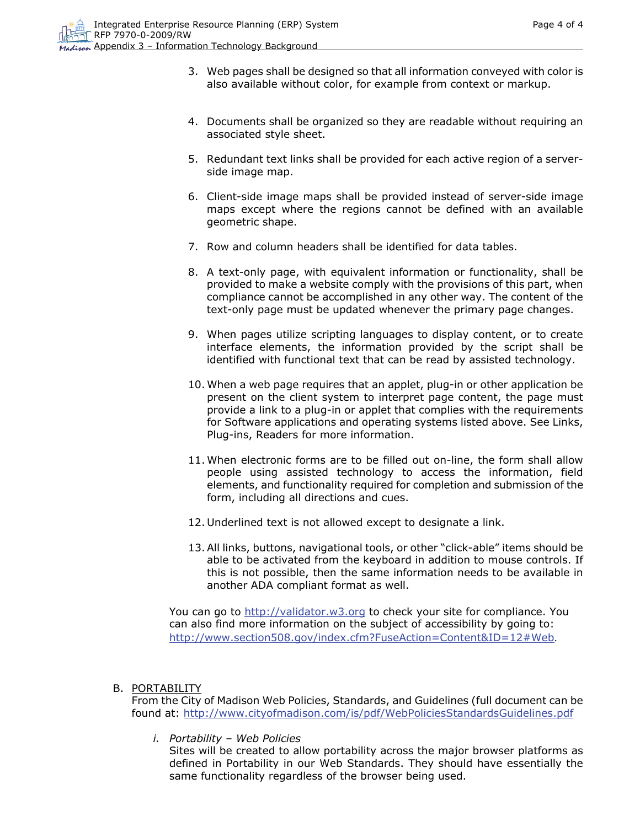- 3. Web pages shall be designed so that all information conveyed with color is also available without color, for example from context or markup.
- 4. Documents shall be organized so they are readable without requiring an associated style sheet.
- 5. Redundant text links shall be provided for each active region of a serverside image map.
- 6. Client-side image maps shall be provided instead of server-side image maps except where the regions cannot be defined with an available geometric shape.
- 7. Row and column headers shall be identified for data tables.
- 8. A text-only page, with equivalent information or functionality, shall be provided to make a website comply with the provisions of this part, when compliance cannot be accomplished in any other way. The content of the text-only page must be updated whenever the primary page changes.
- 9. When pages utilize scripting languages to display content, or to create interface elements, the information provided by the script shall be identified with functional text that can be read by assisted technology.
- 10. When a web page requires that an applet, plug-in or other application be present on the client system to interpret page content, the page must provide a link to a plug-in or applet that complies with the requirements for Software applications and operating systems listed above. See Links, Plug-ins, Readers for more information.
- 11. When electronic forms are to be filled out on-line, the form shall allow people using assisted technology to access the information, field elements, and functionality required for completion and submission of the form, including all directions and cues.
- 12. Underlined text is not allowed except to designate a link.
- 13.All links, buttons, navigational tools, or other "click-able" items should be able to be activated from the keyboard in addition to mouse controls. If this is not possible, then the same information needs to be available in another ADA compliant format as well.

You can go to [http://validator.w3.org](http://validator.w3.org/) to check your site for compliance. You can also find more information on the subject of accessibility by going to: <http://www.section508.gov/index.cfm?FuseAction=Content&ID=12#Web>.

### B. PORTABILITY

From the City of Madison Web Policies, Standards, and Guidelines (full document can be found at: <http://www.cityofmadison.com/is/pdf/WebPoliciesStandardsGuidelines.pdf>

*i. Portability – Web Policies* 

Sites will be created to allow portability across the major browser platforms as defined in Portability in our Web Standards. They should have essentially the same functionality regardless of the browser being used.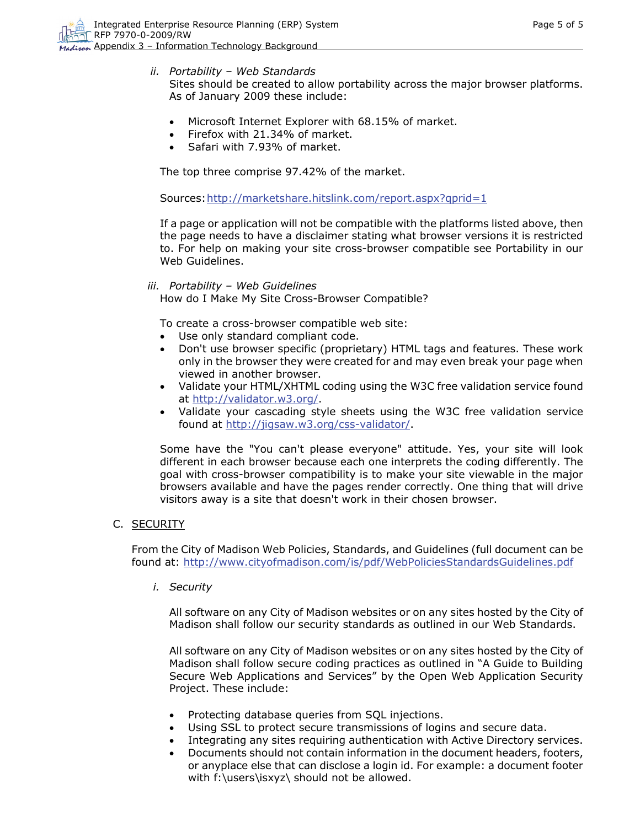*ii. Portability – Web Standards* 

Sites should be created to allow portability across the major browser platforms. As of January 2009 these include:

- Microsoft Internet Explorer with 68.15% of market.
- Firefox with 21.34% of market.
- Safari with 7.93% of market.

The top three comprise 97.42% of the market.

Sources:<http://marketshare.hitslink.com/report.aspx?qprid=1>

If a page or application will not be compatible with the platforms listed above, then the page needs to have a disclaimer stating what browser versions it is restricted to. For help on making your site cross-browser compatible see Portability in our Web Guidelines.

*iii. Portability – Web Guidelines* 

How do I Make My Site Cross-Browser Compatible?

To create a cross-browser compatible web site:

- Use only standard compliant code.
- Don't use browser specific (proprietary) HTML tags and features. These work only in the browser they were created for and may even break your page when viewed in another browser.
- Validate your HTML/XHTML coding using the W3C free validation service found at [http://validator.w3.org/.](http://validator.w3.org/)
- Validate your cascading style sheets using the W3C free validation service found at<http://jigsaw.w3.org/css-validator/>.

Some have the "You can't please everyone" attitude. Yes, your site will look different in each browser because each one interprets the coding differently. The goal with cross-browser compatibility is to make your site viewable in the major browsers available and have the pages render correctly. One thing that will drive visitors away is a site that doesn't work in their chosen browser.

C. SECURITY

From the City of Madison Web Policies, Standards, and Guidelines (full document can be found at: <http://www.cityofmadison.com/is/pdf/WebPoliciesStandardsGuidelines.pdf>

*i. Security* 

All software on any City of Madison websites or on any sites hosted by the City of Madison shall follow our security standards as outlined in our Web Standards.

All software on any City of Madison websites or on any sites hosted by the City of Madison shall follow secure coding practices as outlined in "A Guide to Building Secure Web Applications and Services" by the Open Web Application Security Project. These include:

- Protecting database queries from SQL injections.
- Using SSL to protect secure transmissions of logins and secure data.
- Integrating any sites requiring authentication with Active Directory services.
- Documents should not contain information in the document headers, footers, or anyplace else that can disclose a login id. For example: a document footer with f:\users\isxyz\ should not be allowed.